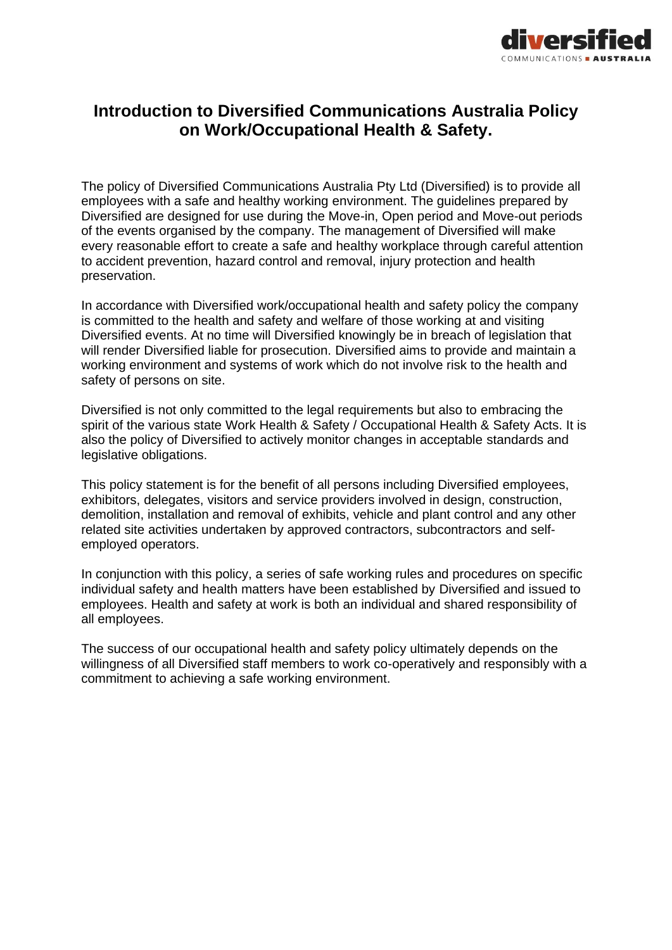

# **Introduction to Diversified Communications Australia Policy on Work/Occupational Health & Safety.**

The policy of Diversified Communications Australia Pty Ltd (Diversified) is to provide all employees with a safe and healthy working environment. The guidelines prepared by Diversified are designed for use during the Move-in, Open period and Move-out periods of the events organised by the company. The management of Diversified will make every reasonable effort to create a safe and healthy workplace through careful attention to accident prevention, hazard control and removal, injury protection and health preservation.

In accordance with Diversified work/occupational health and safety policy the company is committed to the health and safety and welfare of those working at and visiting Diversified events. At no time will Diversified knowingly be in breach of legislation that will render Diversified liable for prosecution. Diversified aims to provide and maintain a working environment and systems of work which do not involve risk to the health and safety of persons on site.

Diversified is not only committed to the legal requirements but also to embracing the spirit of the various state Work Health & Safety / Occupational Health & Safety Acts. It is also the policy of Diversified to actively monitor changes in acceptable standards and legislative obligations.

This policy statement is for the benefit of all persons including Diversified employees, exhibitors, delegates, visitors and service providers involved in design, construction, demolition, installation and removal of exhibits, vehicle and plant control and any other related site activities undertaken by approved contractors, subcontractors and selfemployed operators.

In conjunction with this policy, a series of safe working rules and procedures on specific individual safety and health matters have been established by Diversified and issued to employees. Health and safety at work is both an individual and shared responsibility of all employees.

The success of our occupational health and safety policy ultimately depends on the willingness of all Diversified staff members to work co-operatively and responsibly with a commitment to achieving a safe working environment.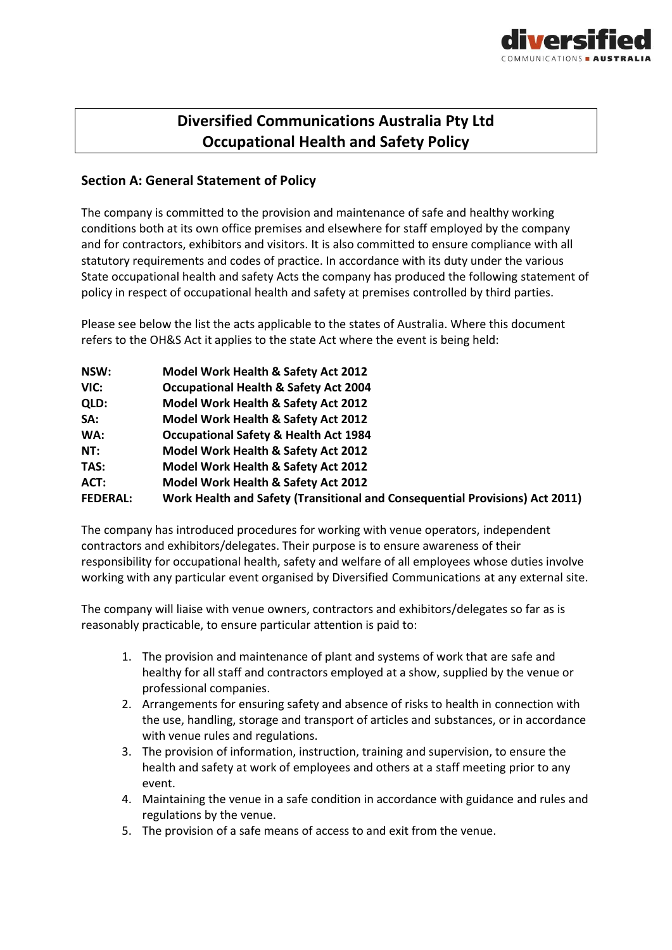

# **Diversified Communications Australia Pty Ltd Occupational Health and Safety Policy**

## **Section A: General Statement of Policy**

The company is committed to the provision and maintenance of safe and healthy working conditions both at its own office premises and elsewhere for staff employed by the company and for contractors, exhibitors and visitors. It is also committed to ensure compliance with all statutory requirements and codes of practice. In accordance with its duty under the various State occupational health and safety Acts the company has produced the following statement of policy in respect of occupational health and safety at premises controlled by third parties.

Please see below the list the acts applicable to the states of Australia. Where this document refers to the OH&S Act it applies to the state Act where the event is being held:

| NSW:            | Model Work Health & Safety Act 2012                                          |
|-----------------|------------------------------------------------------------------------------|
| VIC:            | <b>Occupational Health &amp; Safety Act 2004</b>                             |
| QLD:            | Model Work Health & Safety Act 2012                                          |
| SA:             | Model Work Health & Safety Act 2012                                          |
| WA:             | <b>Occupational Safety &amp; Health Act 1984</b>                             |
| NT:             | Model Work Health & Safety Act 2012                                          |
| TAS:            | Model Work Health & Safety Act 2012                                          |
| ACT:            | Model Work Health & Safety Act 2012                                          |
| <b>FEDERAL:</b> | Work Health and Safety (Transitional and Consequential Provisions) Act 2011) |

The company has introduced procedures for working with venue operators, independent contractors and exhibitors/delegates. Their purpose is to ensure awareness of their responsibility for occupational health, safety and welfare of all employees whose duties involve working with any particular event organised by Diversified Communications at any external site.

The company will liaise with venue owners, contractors and exhibitors/delegates so far as is reasonably practicable, to ensure particular attention is paid to:

- 1. The provision and maintenance of plant and systems of work that are safe and healthy for all staff and contractors employed at a show, supplied by the venue or professional companies.
- 2. Arrangements for ensuring safety and absence of risks to health in connection with the use, handling, storage and transport of articles and substances, or in accordance with venue rules and regulations.
- 3. The provision of information, instruction, training and supervision, to ensure the health and safety at work of employees and others at a staff meeting prior to any event.
- 4. Maintaining the venue in a safe condition in accordance with guidance and rules and regulations by the venue.
- 5. The provision of a safe means of access to and exit from the venue.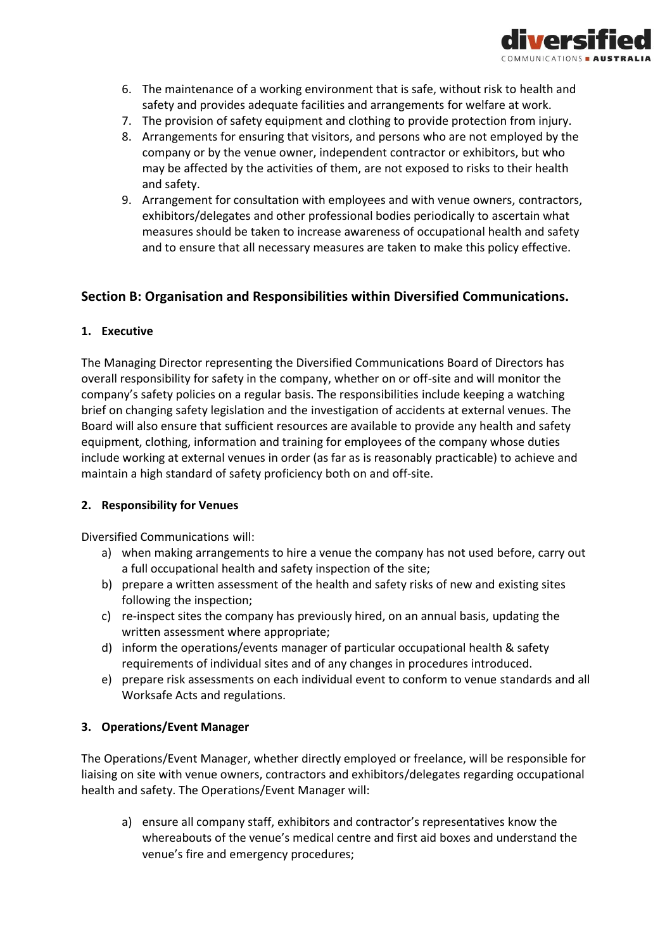

- 6. The maintenance of a working environment that is safe, without risk to health and safety and provides adequate facilities and arrangements for welfare at work.
- 7. The provision of safety equipment and clothing to provide protection from injury.
- 8. Arrangements for ensuring that visitors, and persons who are not employed by the company or by the venue owner, independent contractor or exhibitors, but who may be affected by the activities of them, are not exposed to risks to their health and safety.
- 9. Arrangement for consultation with employees and with venue owners, contractors, exhibitors/delegates and other professional bodies periodically to ascertain what measures should be taken to increase awareness of occupational health and safety and to ensure that all necessary measures are taken to make this policy effective.

### **Section B: Organisation and Responsibilities within Diversified Communications.**

#### **1. Executive**

The Managing Director representing the Diversified Communications Board of Directors has overall responsibility for safety in the company, whether on or off-site and will monitor the company's safety policies on a regular basis. The responsibilities include keeping a watching brief on changing safety legislation and the investigation of accidents at external venues. The Board will also ensure that sufficient resources are available to provide any health and safety equipment, clothing, information and training for employees of the company whose duties include working at external venues in order (as far as is reasonably practicable) to achieve and maintain a high standard of safety proficiency both on and off-site.

#### **2. Responsibility for Venues**

Diversified Communications will:

- a) when making arrangements to hire a venue the company has not used before, carry out a full occupational health and safety inspection of the site;
- b) prepare a written assessment of the health and safety risks of new and existing sites following the inspection;
- c) re-inspect sites the company has previously hired, on an annual basis, updating the written assessment where appropriate;
- d) inform the operations/events manager of particular occupational health & safety requirements of individual sites and of any changes in procedures introduced.
- e) prepare risk assessments on each individual event to conform to venue standards and all Worksafe Acts and regulations.

#### **3. Operations/Event Manager**

The Operations/Event Manager, whether directly employed or freelance, will be responsible for liaising on site with venue owners, contractors and exhibitors/delegates regarding occupational health and safety. The Operations/Event Manager will:

a) ensure all company staff, exhibitors and contractor's representatives know the whereabouts of the venue's medical centre and first aid boxes and understand the venue's fire and emergency procedures;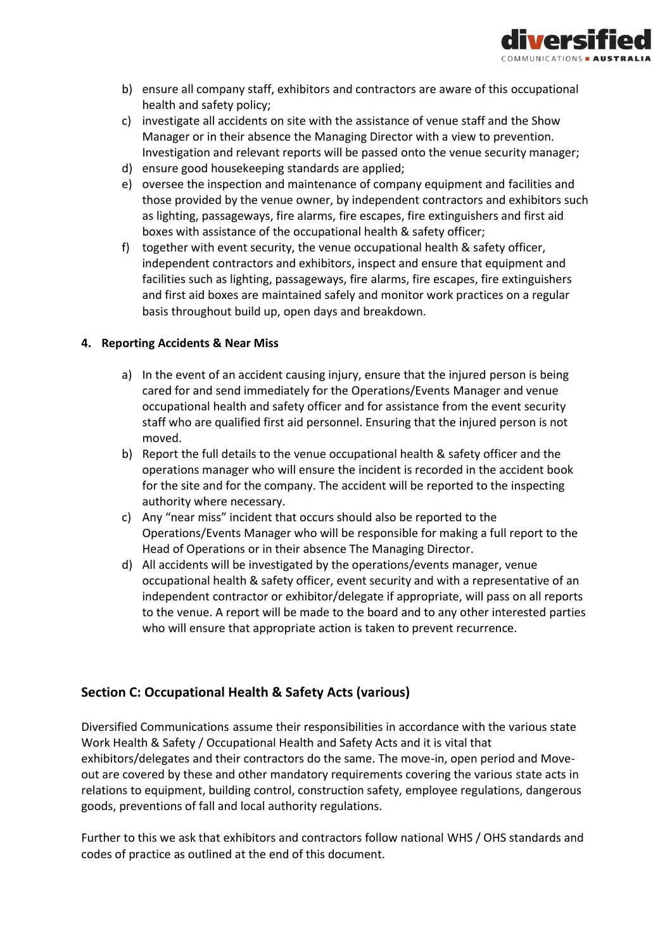

- b) ensure all company staff, exhibitors and contractors are aware of this occupational health and safety policy;
- c) investigate all accidents on site with the assistance of venue staff and the Show Manager or in their absence the Managing Director with a view to prevention. Investigation and relevant reports will be passed onto the venue security manager;
- d) ensure good housekeeping standards are applied;
- e) oversee the inspection and maintenance of company equipment and facilities and those provided by the venue owner, by independent contractors and exhibitors such as lighting, passageways, fire alarms, fire escapes, fire extinguishers and first aid boxes with assistance of the occupational health & safety officer;
- f) together with event security, the venue occupational health & safety officer, independent contractors and exhibitors, inspect and ensure that equipment and facilities such as lighting, passageways, fire alarms, fire escapes, fire extinguishers and first aid boxes are maintained safely and monitor work practices on a regular basis throughout build up, open days and breakdown.

### **4. Reporting Accidents & Near Miss**

- a) In the event of an accident causing injury, ensure that the injured person is being cared for and send immediately for the Operations/Events Manager and venue occupational health and safety officer and for assistance from the event security staff who are qualified first aid personnel. Ensuring that the injured person is not moved.
- b) Report the full details to the venue occupational health & safety officer and the operations manager who will ensure the incident is recorded in the accident book for the site and for the company. The accident will be reported to the inspecting authority where necessary.
- c) Any "near miss" incident that occurs should also be reported to the Operations/Events Manager who will be responsible for making a full report to the Head of Operations or in their absence The Managing Director.
- d) All accidents will be investigated by the operations/events manager, venue occupational health & safety officer, event security and with a representative of an independent contractor or exhibitor/delegate if appropriate, will pass on all reports to the venue. A report will be made to the board and to any other interested parties who will ensure that appropriate action is taken to prevent recurrence.

## **Section C: Occupational Health & Safety Acts (various)**

Diversified Communications assume their responsibilities in accordance with the various state Work Health & Safety / Occupational Health and Safety Acts and it is vital that exhibitors/delegates and their contractors do the same. The move-in, open period and Moveout are covered by these and other mandatory requirements covering the various state acts in relations to equipment, building control, construction safety, employee regulations, dangerous goods, preventions of fall and local authority regulations.

Further to this we ask that exhibitors and contractors follow national WHS / OHS standards and codes of practice as outlined at the end of this document.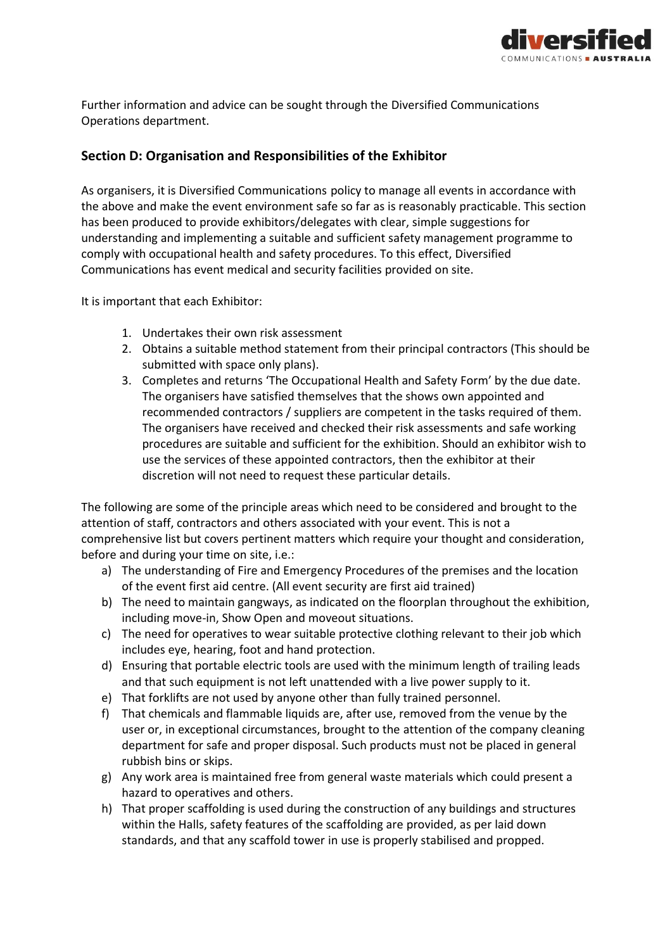

Further information and advice can be sought through the Diversified Communications Operations department.

## **Section D: Organisation and Responsibilities of the Exhibitor**

As organisers, it is Diversified Communications policy to manage all events in accordance with the above and make the event environment safe so far as is reasonably practicable. This section has been produced to provide exhibitors/delegates with clear, simple suggestions for understanding and implementing a suitable and sufficient safety management programme to comply with occupational health and safety procedures. To this effect, Diversified Communications has event medical and security facilities provided on site.

It is important that each Exhibitor:

- 1. Undertakes their own risk assessment
- 2. Obtains a suitable method statement from their principal contractors (This should be submitted with space only plans).
- 3. Completes and returns 'The Occupational Health and Safety Form' by the due date. The organisers have satisfied themselves that the shows own appointed and recommended contractors / suppliers are competent in the tasks required of them. The organisers have received and checked their risk assessments and safe working procedures are suitable and sufficient for the exhibition. Should an exhibitor wish to use the services of these appointed contractors, then the exhibitor at their discretion will not need to request these particular details.

The following are some of the principle areas which need to be considered and brought to the attention of staff, contractors and others associated with your event. This is not a comprehensive list but covers pertinent matters which require your thought and consideration, before and during your time on site, i.e.:

- a) The understanding of Fire and Emergency Procedures of the premises and the location of the event first aid centre. (All event security are first aid trained)
- b) The need to maintain gangways, as indicated on the floorplan throughout the exhibition, including move-in, Show Open and moveout situations.
- c) The need for operatives to wear suitable protective clothing relevant to their job which includes eye, hearing, foot and hand protection.
- d) Ensuring that portable electric tools are used with the minimum length of trailing leads and that such equipment is not left unattended with a live power supply to it.
- e) That forklifts are not used by anyone other than fully trained personnel.
- f) That chemicals and flammable liquids are, after use, removed from the venue by the user or, in exceptional circumstances, brought to the attention of the company cleaning department for safe and proper disposal. Such products must not be placed in general rubbish bins or skips.
- g) Any work area is maintained free from general waste materials which could present a hazard to operatives and others.
- h) That proper scaffolding is used during the construction of any buildings and structures within the Halls, safety features of the scaffolding are provided, as per laid down standards, and that any scaffold tower in use is properly stabilised and propped.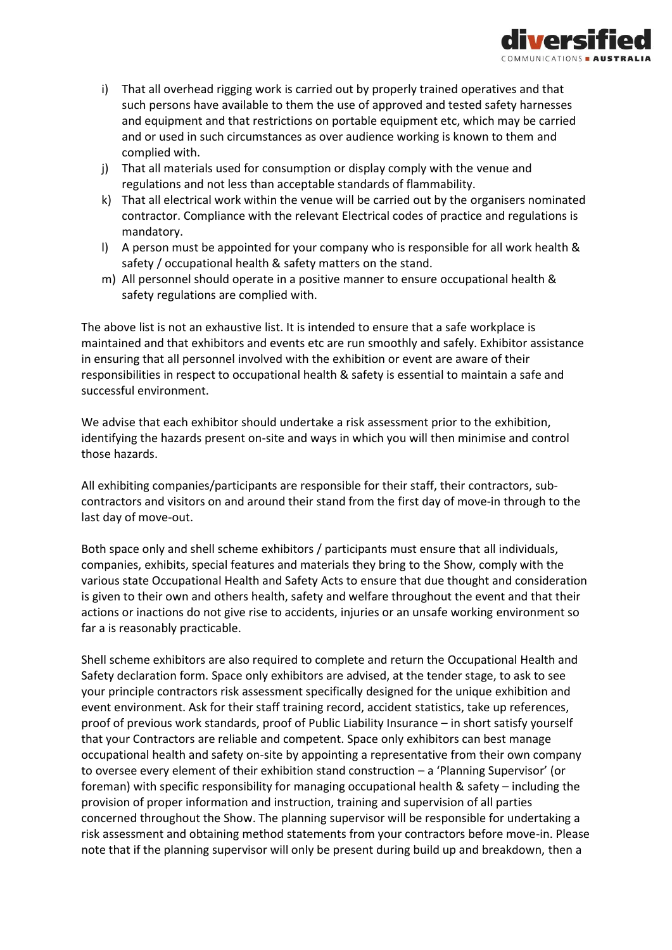

- i) That all overhead rigging work is carried out by properly trained operatives and that such persons have available to them the use of approved and tested safety harnesses and equipment and that restrictions on portable equipment etc, which may be carried and or used in such circumstances as over audience working is known to them and complied with.
- j) That all materials used for consumption or display comply with the venue and regulations and not less than acceptable standards of flammability.
- k) That all electrical work within the venue will be carried out by the organisers nominated contractor. Compliance with the relevant Electrical codes of practice and regulations is mandatory.
- l) A person must be appointed for your company who is responsible for all work health & safety / occupational health & safety matters on the stand.
- m) All personnel should operate in a positive manner to ensure occupational health & safety regulations are complied with.

The above list is not an exhaustive list. It is intended to ensure that a safe workplace is maintained and that exhibitors and events etc are run smoothly and safely. Exhibitor assistance in ensuring that all personnel involved with the exhibition or event are aware of their responsibilities in respect to occupational health & safety is essential to maintain a safe and successful environment.

We advise that each exhibitor should undertake a risk assessment prior to the exhibition, identifying the hazards present on-site and ways in which you will then minimise and control those hazards.

All exhibiting companies/participants are responsible for their staff, their contractors, subcontractors and visitors on and around their stand from the first day of move-in through to the last day of move-out.

Both space only and shell scheme exhibitors / participants must ensure that all individuals, companies, exhibits, special features and materials they bring to the Show, comply with the various state Occupational Health and Safety Acts to ensure that due thought and consideration is given to their own and others health, safety and welfare throughout the event and that their actions or inactions do not give rise to accidents, injuries or an unsafe working environment so far a is reasonably practicable.

Shell scheme exhibitors are also required to complete and return the Occupational Health and Safety declaration form. Space only exhibitors are advised, at the tender stage, to ask to see your principle contractors risk assessment specifically designed for the unique exhibition and event environment. Ask for their staff training record, accident statistics, take up references, proof of previous work standards, proof of Public Liability Insurance – in short satisfy yourself that your Contractors are reliable and competent. Space only exhibitors can best manage occupational health and safety on-site by appointing a representative from their own company to oversee every element of their exhibition stand construction – a 'Planning Supervisor' (or foreman) with specific responsibility for managing occupational health & safety – including the provision of proper information and instruction, training and supervision of all parties concerned throughout the Show. The planning supervisor will be responsible for undertaking a risk assessment and obtaining method statements from your contractors before move-in. Please note that if the planning supervisor will only be present during build up and breakdown, then a